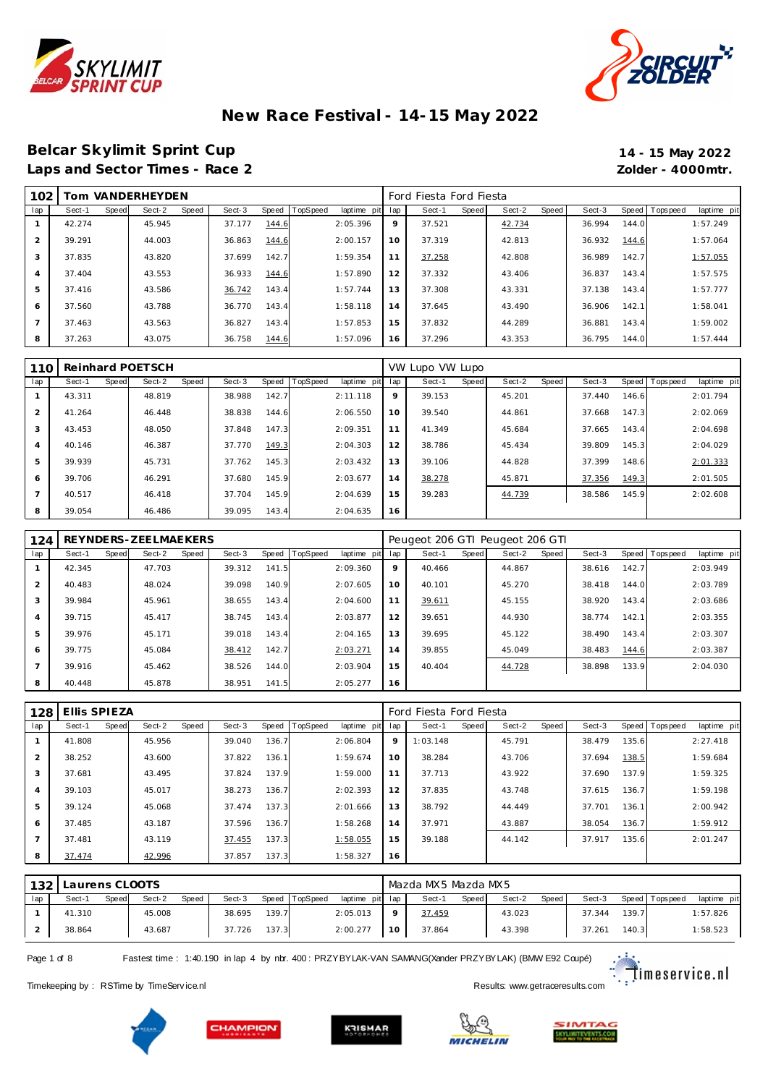



#### **Belcar Skylimit Sprint Cup 14 - 15 May 2022** Laps and Sector Times - Race 2 *Zolder - 4000mtr.*

| 102 |        |       | Tom VANDERHEYDEN |       |        |       |                 |             |     | Ford Fiesta Ford Fiesta |       |        |       |        |       |                   |             |
|-----|--------|-------|------------------|-------|--------|-------|-----------------|-------------|-----|-------------------------|-------|--------|-------|--------|-------|-------------------|-------------|
| lap | Sect-1 | Speed | Sect-2           | Speed | Sect-3 | Speed | <b>TopSpeed</b> | laptime pit | lap | Sect-1                  | Speed | Sect-2 | Speed | Sect-3 |       | Speed   Tops peed | laptime pit |
|     | 42.274 |       | 45.945           |       | 37.177 | 144.6 |                 | 2:05.396    | 9   | 37.521                  |       | 42.734 |       | 36.994 | 144.0 |                   | 1:57.249    |
|     | 39.291 |       | 44.003           |       | 36.863 | 144.6 |                 | 2:00.157    | 10  | 37.319                  |       | 42.813 |       | 36.932 | 144.6 |                   | 1:57.064    |
| 3   | 37.835 |       | 43.820           |       | 37.699 | 142.7 |                 | 1:59.354    | 11  | 37.258                  |       | 42.808 |       | 36.989 | 142.7 |                   | 1:57.055    |
|     | 37.404 |       | 43.553           |       | 36.933 | 144.6 |                 | 1:57.890    | 12  | 37.332                  |       | 43.406 |       | 36.837 | 143.4 |                   | 1:57.575    |
| 5   | 37.416 |       | 43.586           |       | 36.742 | 143.4 |                 | 1:57.744    | 13  | 37.308                  |       | 43.331 |       | 37.138 | 143.4 |                   | 1:57.777    |
| 6   | 37.560 |       | 43.788           |       | 36.770 | 143.4 |                 | 1:58.118    | 14  | 37.645                  |       | 43.490 |       | 36.906 | 142.1 |                   | 1:58.041    |
|     | 37.463 |       | 43.563           |       | 36.827 | 143.4 |                 | 1:57.853    | 15  | 37.832                  |       | 44.289 |       | 36.881 | 143.4 |                   | 1:59.002    |
| 8   | 37.263 |       | 43.075           |       | 36.758 | 144.6 |                 | 1:57.096    | 16  | 37.296                  |       | 43.353 |       | 36.795 | 144.0 |                   | 1:57.444    |

| 110            |        |       | Reinhard POETSCH |       |        |       |          |             |     | VW Lupo VW Lupo |       |        |       |        |       |           |             |
|----------------|--------|-------|------------------|-------|--------|-------|----------|-------------|-----|-----------------|-------|--------|-------|--------|-------|-----------|-------------|
| lap            | Sect-1 | Speed | Sect-2           | Speed | Sect-3 | Speed | TopSpeed | laptime pit | lap | Sect-1          | Speed | Sect-2 | Speed | Sect-3 | Speed | Tops peed | laptime pit |
|                | 43.311 |       | 48.819           |       | 38.988 | 142.7 |          | 2:11.118    | 9   | 39.153          |       | 45.201 |       | 37.440 | 146.6 |           | 2:01.794    |
| $\overline{2}$ | 41.264 |       | 46.448           |       | 38.838 | 144.6 |          | 2:06.550    | 10  | 39.540          |       | 44.861 |       | 37.668 | 147.3 |           | 2:02.069    |
| 3              | 43.453 |       | 48.050           |       | 37.848 | 147.3 |          | 2:09.351    | 11  | 41.349          |       | 45.684 |       | 37.665 | 143.4 |           | 2:04.698    |
| $\overline{4}$ | 40.146 |       | 46.387           |       | 37.770 | 149.3 |          | 2:04.303    | 12  | 38.786          |       | 45.434 |       | 39.809 | 145.3 |           | 2:04.029    |
| 5              | 39.939 |       | 45.731           |       | 37.762 | 145.3 |          | 2:03.432    | 13  | 39.106          |       | 44.828 |       | 37.399 | 148.6 |           | 2:01.333    |
| 6              | 39.706 |       | 46.291           |       | 37.680 | 145.9 |          | 2:03.677    | 14  | 38.278          |       | 45.871 |       | 37.356 | 149.3 |           | 2:01.505    |
|                | 40.517 |       | 46.418           |       | 37.704 | 145.9 |          | 2:04.639    | 15  | 39.283          |       | 44.739 |       | 38.586 | 145.9 |           | 2:02.608    |
| 8              | 39.054 |       | 46.486           |       | 39.095 | 143.4 |          | 2:04.635    | 16  |                 |       |        |       |        |       |           |             |

| 124            |        |       | REYNDERS-ZEELMAEKERS |       |        |       |                |             |     | Peugeot 206 GTI Peugeot 206 GTI |       |        |       |        |       |                |             |
|----------------|--------|-------|----------------------|-------|--------|-------|----------------|-------------|-----|---------------------------------|-------|--------|-------|--------|-------|----------------|-------------|
| lap            | Sect-1 | Speed | Sect-2               | Speed | Sect-3 |       | Speed TopSpeed | laptime pit | lap | Sect-1                          | Speed | Sect-2 | Speed | Sect-3 |       | Speed Topspeed | laptime pit |
|                | 42.345 |       | 47.703               |       | 39.312 | 141.5 |                | 2:09.360    | 9   | 40.466                          |       | 44.867 |       | 38.616 | 142.7 |                | 2:03.949    |
| $\mathcal{P}$  | 40.483 |       | 48.024               |       | 39.098 | 140.9 |                | 2:07.605    | 10  | 40.101                          |       | 45.270 |       | 38.418 | 144.0 |                | 2:03.789    |
| 3              | 39.984 |       | 45.961               |       | 38.655 | 143.4 |                | 2:04.600    | 11  | 39.611                          |       | 45.155 |       | 38.920 | 143.4 |                | 2:03.686    |
| $\overline{4}$ | 39.715 |       | 45.417               |       | 38.745 | 143.4 |                | 2:03.877    | 12  | 39.651                          |       | 44.930 |       | 38.774 | 142.1 |                | 2:03.355    |
| 5              | 39.976 |       | 45.171               |       | 39.018 | 143.4 |                | 2:04.165    | 13  | 39.695                          |       | 45.122 |       | 38.490 | 143.4 |                | 2:03.307    |
| 6              | 39.775 |       | 45.084               |       | 38.412 | 142.7 |                | 2:03.271    | 14  | 39.855                          |       | 45.049 |       | 38.483 | 144.6 |                | 2:03.387    |
| $\overline{ }$ | 39.916 |       | 45.462               |       | 38.526 | 144.0 |                | 2:03.904    | 15  | 40.404                          |       | 44.728 |       | 38.898 | 133.9 |                | 2:04.030    |
| 8              | 40.448 |       | 45.878               |       | 38.951 | 141.5 |                | 2:05.277    | 16  |                                 |       |        |       |        |       |                |             |

| 128            | Ellis SPIEZA |       |        |       |        |       |                |             |     | Ford Fiesta Ford Fiesta |       |        |       |        |       |                |             |
|----------------|--------------|-------|--------|-------|--------|-------|----------------|-------------|-----|-------------------------|-------|--------|-------|--------|-------|----------------|-------------|
| lap            | Sect-1       | Speed | Sect-2 | Speed | Sect-3 |       | Speed TopSpeed | laptime pit | lap | Sect-1                  | Speed | Sect-2 | Speed | Sect-3 |       | Speed Topspeed | laptime pit |
|                | 41.808       |       | 45.956 |       | 39.040 | 136.7 |                | 2:06.804    | 9   | 1:03.148                |       | 45.791 |       | 38.479 | 135.6 |                | 2:27.418    |
| 2              | 38.252       |       | 43.600 |       | 37.822 | 136.1 |                | 1:59.674    | 10  | 38.284                  |       | 43.706 |       | 37.694 | 138.5 |                | 1:59.684    |
| 3              | 37.681       |       | 43.495 |       | 37.824 | 137.9 |                | 1:59.000    | 11  | 37.713                  |       | 43.922 |       | 37.690 | 137.9 |                | 1:59.325    |
| 4              | 39.103       |       | 45.017 |       | 38.273 | 136.7 |                | 2:02.393    | 12  | 37.835                  |       | 43.748 |       | 37.615 | 136.7 |                | 1:59.198    |
| 5              | 39.124       |       | 45.068 |       | 37.474 | 137.3 |                | 2:01.666    | 13  | 38.792                  |       | 44.449 |       | 37.701 | 136.1 |                | 2:00.942    |
| 6              | 37.485       |       | 43.187 |       | 37.596 | 136.7 |                | 1:58.268    | 14  | 37.971                  |       | 43.887 |       | 38.054 | 136.7 |                | 1:59.912    |
| $\overline{7}$ | 37.481       |       | 43.119 |       | 37.455 | 137.3 |                | 1:58.055    | 15  | 39.188                  |       | 44.142 |       | 37.917 | 135.6 |                | 2:01.247    |
| 8              | 37.474       |       | 42.996 |       | 37.857 | 137.3 |                | 1:58.327    | 16  |                         |       |        |       |        |       |                |             |

| 132 | Laurens CLOOTS |       |        |       |        |       |                |                 |    | Mazda MX5 Mazda MX5 |       |        |              |        |        |                   |             |
|-----|----------------|-------|--------|-------|--------|-------|----------------|-----------------|----|---------------------|-------|--------|--------------|--------|--------|-------------------|-------------|
| lap | Sect-1         | Speed | Sect-2 | Speed | Sect-3 |       | Speed TopSpeed | laptime pit lap |    | Sect-1              | Speed | Sect-2 | <b>Speed</b> | Sect-3 |        | Speed   Tops peed | laptime pit |
|     | 41.310         |       | 45.008 |       | 38.695 | 139.7 |                | 2:05.013        |    | 37.459              |       | 43.023 |              | 37.344 | 139.71 |                   | 1:57.826    |
|     | 38.864         |       | 43.687 |       | 37.726 | 137.3 |                | 2:00.277        | 10 | 37.864              |       | 43.398 |              | 37.261 | 140.3  |                   | 1:58.523    |

Page 1 of 8 Fastest time : 1:40.190 in lap 4 by nbr. 400 : PRZYBYLAK-VAN SAMANG(Xander PRZYBYLAK) (BMW E92 Coupé)

Timekeeping by : RSTime by TimeServ ice.nl **Results:** We are a state of the Service of the Service of the Service of the Service of the Service of the Service of the Service of the Service of the Service of the Service of

KRISMAR





 $\ddot{\ddot{\cdot}}$  . Timeservice.nl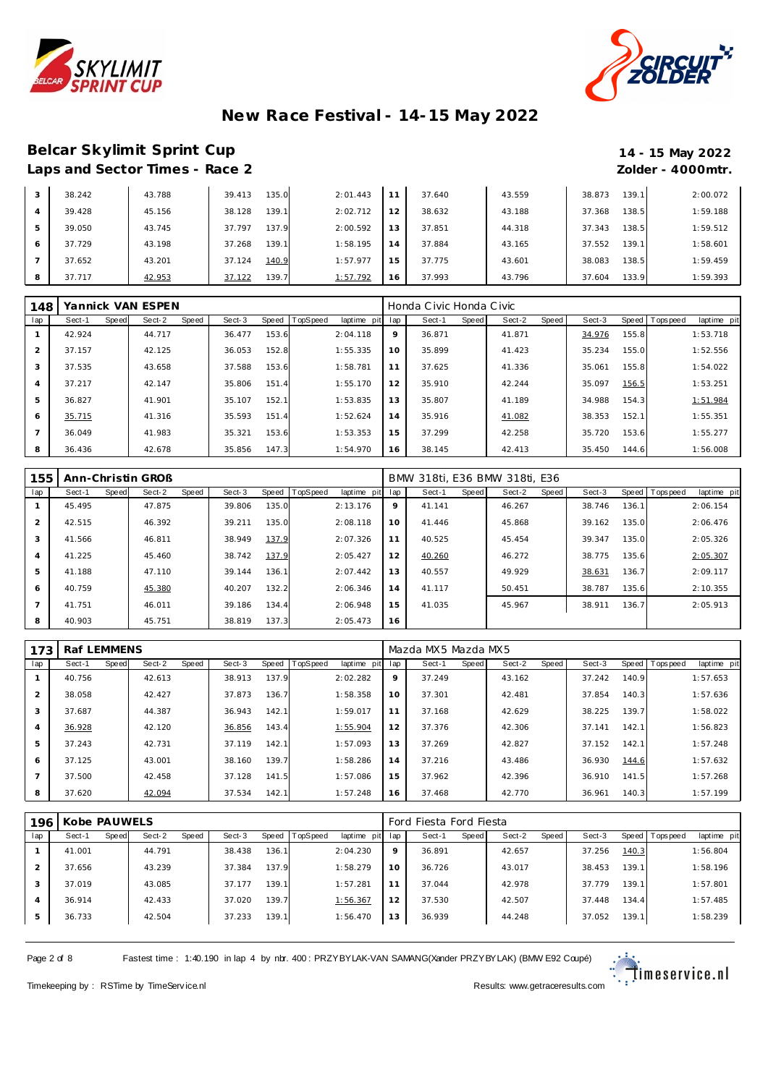



#### **Belcar Skylimit Sprint Cup 14 - 15 May 2022** Laps and Sector Times - Race 2 *Zolder - 4000mtr.*

| 3              | 38.242 | 43.788 | 135.0<br>39.413 | 2:01.443 | 11 | 37.640 | 43.559 | 38.873 | 139.1 | 2:00.072 |
|----------------|--------|--------|-----------------|----------|----|--------|--------|--------|-------|----------|
| $\overline{4}$ | 39.428 | 45.156 | 139.1<br>38.128 | 2:02.712 | 12 | 38.632 | 43.188 | 37.368 | 138.5 | 1:59.188 |
| 5              | 39.050 | 43.745 | 137.9<br>37.797 | 2:00.592 | 13 | 37.851 | 44.318 | 37.343 | 138.5 | 1:59.512 |
| 6              | 37.729 | 43.198 | 139.1<br>37.268 | 1:58.195 | 14 | 37.884 | 43.165 | 37.552 | 139.1 | 1:58.601 |
|                | 37.652 | 43.201 | 140.9<br>37.124 | 1:57.977 | 15 | 37.775 | 43.601 | 38.083 | 138.5 | 1:59.459 |
| 8              | 37.717 | 42.953 | 139.7<br>37.122 | 1:57.792 | 16 | 37.993 | 43.796 | 37.604 | 133.9 | 1:59.393 |

| 148            |        |       | Yannick VAN ESPEN |       |        |       |          |             |     | Honda Civic Honda Civic |       |        |       |        |       |           |             |
|----------------|--------|-------|-------------------|-------|--------|-------|----------|-------------|-----|-------------------------|-------|--------|-------|--------|-------|-----------|-------------|
| lap            | Sect-1 | Speed | Sect-2            | Speed | Sect-3 | Speed | TopSpeed | laptime pit | lap | Sect-1                  | Speed | Sect-2 | Speed | Sect-3 | Speed | Tops peed | laptime pit |
|                | 42.924 |       | 44.717            |       | 36.477 | 153.6 |          | 2:04.118    | 9   | 36.871                  |       | 41.871 |       | 34.976 | 155.8 |           | 1:53.718    |
| $\mathcal{P}$  | 37.157 |       | 42.125            |       | 36.053 | 152.8 |          | 1:55.335    | 10  | 35.899                  |       | 41.423 |       | 35.234 | 155.0 |           | 1:52.556    |
| 3              | 37.535 |       | 43.658            |       | 37.588 | 153.6 |          | 1:58.781    | 11  | 37.625                  |       | 41.336 |       | 35.061 | 155.8 |           | 1:54.022    |
| 4              | 37.217 |       | 42.147            |       | 35.806 | 151.4 |          | 1:55.170    | 12  | 35.910                  |       | 42.244 |       | 35.097 | 156.5 |           | 1:53.251    |
| 5              | 36.827 |       | 41.901            |       | 35.107 | 152.1 |          | 1:53.835    | 13  | 35.807                  |       | 41.189 |       | 34.988 | 154.3 |           | 1:51.984    |
| 6              | 35.715 |       | 41.316            |       | 35.593 | 151.4 |          | 1:52.624    | 14  | 35.916                  |       | 41.082 |       | 38.353 | 152.1 |           | 1:55.351    |
| $\overline{7}$ | 36.049 |       | 41.983            |       | 35.321 | 153.6 |          | 1:53.353    | 15  | 37.299                  |       | 42.258 |       | 35.720 | 153.6 |           | 1:55.277    |
| 8              | 36.436 |       | 42.678            |       | 35.856 | 147.3 |          | 1:54.970    | 16  | 38.145                  |       | 42.413 |       | 35.450 | 144.6 |           | 1:56.008    |

| 155            |        |              | Ann-Christin GROB |       |        |       |          |             |     | BMW 318ti, E36 BMW 318ti, E36 |       |        |       |        |       |                 |             |
|----------------|--------|--------------|-------------------|-------|--------|-------|----------|-------------|-----|-------------------------------|-------|--------|-------|--------|-------|-----------------|-------------|
| lap            | Sect-1 | <b>Speed</b> | Sect-2            | Speed | Sect-3 | Speed | TopSpeed | laptime pit | lap | Sect-1                        | Speed | Sect-2 | Speed | Sect-3 |       | Speed Tops peed | laptime pit |
|                | 45.495 |              | 47.875            |       | 39.806 | 135.0 |          | 2:13.176    | 9   | 41.141                        |       | 46.267 |       | 38.746 | 136.1 |                 | 2:06.154    |
| 2              | 42.515 |              | 46.392            |       | 39.211 | 135.0 |          | 2:08.118    | 10  | 41.446                        |       | 45.868 |       | 39.162 | 135.0 |                 | 2:06.476    |
| 3              | 41.566 |              | 46.811            |       | 38.949 | 137.9 |          | 2:07.326    | 11  | 40.525                        |       | 45.454 |       | 39.347 | 135.0 |                 | 2:05.326    |
| 4              | 41.225 |              | 45.460            |       | 38.742 | 137.9 |          | 2:05.427    | 12  | 40.260                        |       | 46.272 |       | 38.775 | 135.6 |                 | 2:05.307    |
| 5              | 41.188 |              | 47.110            |       | 39.144 | 136.1 |          | 2:07.442    | 13  | 40.557                        |       | 49.929 |       | 38.631 | 136.7 |                 | 2:09.117    |
| 6              | 40.759 |              | 45.380            |       | 40.207 | 132.2 |          | 2:06.346    | 14  | 41.117                        |       | 50.451 |       | 38.787 | 135.6 |                 | 2:10.355    |
| $\overline{7}$ | 41.751 |              | 46.011            |       | 39.186 | 134.4 |          | 2:06.948    | 15  | 41.035                        |       | 45.967 |       | 38.911 | 136.7 |                 | 2:05.913    |
| 8              | 40.903 |              | 45.751            |       | 38.819 | 137.3 |          | 2:05.473    | 16  |                               |       |        |       |        |       |                 |             |

| 173            | Raf LEMMENS |       |        |       |        |       |          |             |             | Mazda MX5 Mazda MX5 |       |        |       |        |         |           |             |
|----------------|-------------|-------|--------|-------|--------|-------|----------|-------------|-------------|---------------------|-------|--------|-------|--------|---------|-----------|-------------|
| lap            | Sect-1      | Speed | Sect-2 | Speed | Sect-3 | Speed | TopSpeed | laptime pit | lap         | Sect-1              | Speed | Sect-2 | Speed | Sect-3 | Speed I | Tops peed | laptime pit |
|                | 40.756      |       | 42.613 |       | 38.913 | 137.9 |          | 2:02.282    | $\mathsf Q$ | 37.249              |       | 43.162 |       | 37.242 | 140.9   |           | 1:57.653    |
| $\overline{2}$ | 38.058      |       | 42.427 |       | 37.873 | 136.7 |          | 1:58.358    | 10          | 37.301              |       | 42.481 |       | 37.854 | 140.3   |           | 1:57.636    |
| 3              | 37.687      |       | 44.387 |       | 36.943 | 142.1 |          | 1:59.017    | 11          | 37.168              |       | 42.629 |       | 38.225 | 139.7   |           | 1:58.022    |
| 4              | 36.928      |       | 42.120 |       | 36.856 | 143.4 |          | 1:55.904    | 12          | 37.376              |       | 42.306 |       | 37.141 | 142.1   |           | 1:56.823    |
| 5              | 37.243      |       | 42.731 |       | 37.119 | 142.1 |          | 1:57.093    | 13          | 37.269              |       | 42.827 |       | 37.152 | 142.1   |           | 1:57.248    |
| 6              | 37.125      |       | 43.001 |       | 38.160 | 139.7 |          | 1:58.286    | 14          | 37.216              |       | 43.486 |       | 36.930 | 144.6   |           | 1:57.632    |
|                | 37.500      |       | 42.458 |       | 37.128 | 141.5 |          | 1:57.086    | 15          | 37.962              |       | 42.396 |       | 36.910 | 141.5   |           | 1:57.268    |
| 8              | 37.620      |       | 42.094 |       | 37.534 | 142.1 |          | 1:57.248    | 16          | 37.468              |       | 42.770 |       | 36.961 | 140.3   |           | 1:57.199    |

| 196 | Kobe PAUWELS |       |        |       |        |       |          |                 |         | Ford Fiesta Ford Fiesta |       |        |       |        |       |                   |             |
|-----|--------------|-------|--------|-------|--------|-------|----------|-----------------|---------|-------------------------|-------|--------|-------|--------|-------|-------------------|-------------|
| lap | Sect-1       | Speed | Sect-2 | Speed | Sect-3 | Speed | TopSpeed | laptime pit lap |         | Sect-1                  | Speed | Sect-2 | Speed | Sect-3 |       | Speed   Tops peed | laptime pit |
|     | 41.001       |       | 44.791 |       | 38.438 | 136.1 |          | 2:04.230        | $\circ$ | 36.891                  |       | 42.657 |       | 37.256 | 140.3 |                   | 1:56.804    |
|     | 37.656       |       | 43.239 |       | 37.384 | 137.9 |          | 1:58.279        | 10      | 36.726                  |       | 43.017 |       | 38.453 | 139.1 |                   | 1:58.196    |
|     | 37.019       |       | 43.085 |       | 37.177 | 139.1 |          | 1:57.281        |         | 37.044                  |       | 42.978 |       | 37.779 | 139.1 |                   | 1:57.801    |
| 4   | 36.914       |       | 42.433 |       | 37.020 | 139.7 |          | 1:56.367        | 12      | 37.530                  |       | 42.507 |       | 37.448 | 134.4 |                   | 1:57.485    |
| 5   | 36.733       |       | 42.504 |       | 37.233 | 139.1 |          | 1:56.470        | 13      | 36.939                  |       | 44.248 |       | 37.052 | 139.1 |                   | 1:58.239    |

Page 2 of 8 Fastest time : 1:40.190 in lap 4 by nbr. 400 : PRZYBYLAK-VAN SAMANG(Xander PRZYBYLAK) (BMW E92 Coupé)

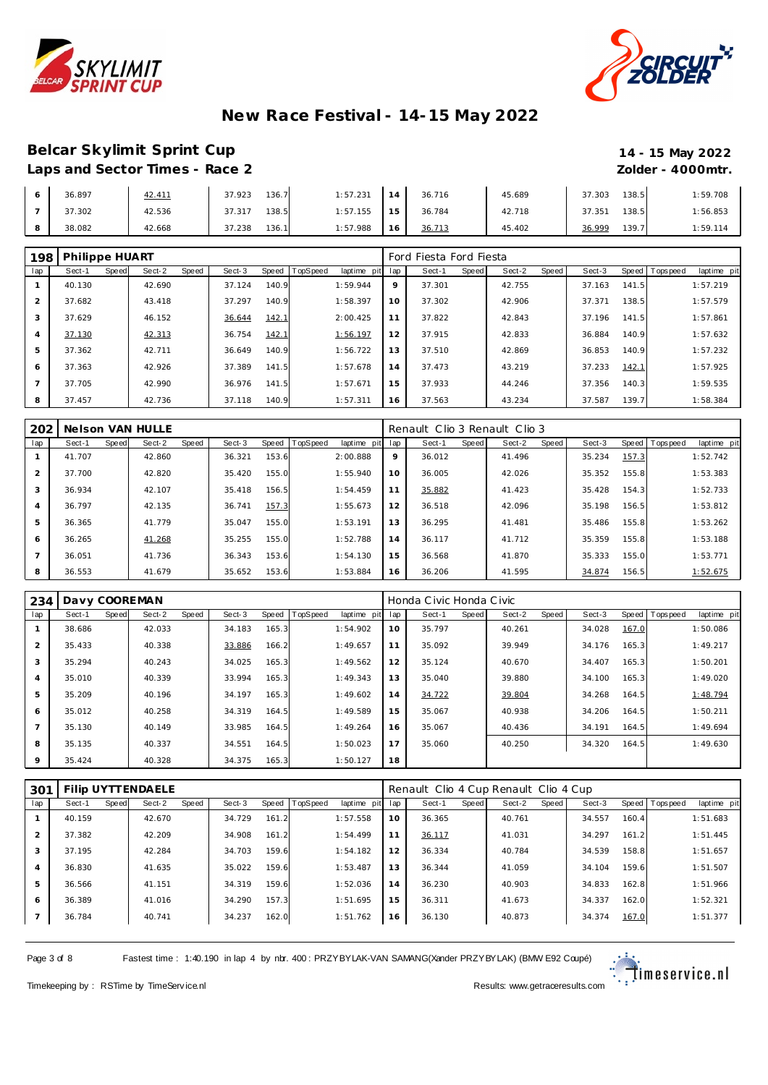



### **Belcar Skylimit Sprint Cup 14 - 15 May 2022** Laps and Sector Times - Race 2 *Zolder - 4000mtr.*

| 36.897 | <u>42.411</u> | 136.7<br>37.923 | 1:57.231 | $\Delta$ | 36.716 | 45.689 | 37.303 | 138.5 | 1:59.708 |
|--------|---------------|-----------------|----------|----------|--------|--------|--------|-------|----------|
| 37.302 | 42.536        | 138.5<br>37.317 | 1:57.155 | 15       | 36.784 | 42.718 | 37.351 | 138.5 | 1:56.853 |
| 38.082 | 42.668        | 136.1<br>37.238 | 1:57.988 | 16       | 36.713 | 45.402 | 36.999 | 139.7 | 1:59.114 |

| 198            | Philippe HUART |       |        |       |        |       |                |             |     | Ford Fiesta Ford Fiesta |       |        |       |        |       |                  |             |
|----------------|----------------|-------|--------|-------|--------|-------|----------------|-------------|-----|-------------------------|-------|--------|-------|--------|-------|------------------|-------------|
| lap            | Sect-1         | Speed | Sect-2 | Speed | Sect-3 |       | Speed TopSpeed | laptime pit | lap | Sect-1                  | Speed | Sect-2 | Speed | Sect-3 |       | Speed   Topspeed | laptime pit |
|                | 40.130         |       | 42.690 |       | 37.124 | 140.9 |                | 1:59.944    | 9   | 37.301                  |       | 42.755 |       | 37.163 | 141.5 |                  | 1:57.219    |
| $\overline{2}$ | 37.682         |       | 43.418 |       | 37.297 | 140.9 |                | 1:58.397    | 10  | 37.302                  |       | 42.906 |       | 37.371 | 138.5 |                  | 1:57.579    |
| 3              | 37.629         |       | 46.152 |       | 36.644 | 142.1 |                | 2:00.425    | 11  | 37.822                  |       | 42.843 |       | 37.196 | 141.5 |                  | 1:57.861    |
| $\overline{4}$ | 37.130         |       | 42.313 |       | 36.754 | 142.1 |                | 1:56.197    | 12  | 37.915                  |       | 42.833 |       | 36.884 | 140.9 |                  | 1:57.632    |
| 5              | 37.362         |       | 42.711 |       | 36.649 | 140.9 |                | 1:56.722    | 13  | 37.510                  |       | 42.869 |       | 36.853 | 140.9 |                  | 1:57.232    |
| 6              | 37.363         |       | 42.926 |       | 37.389 | 141.5 |                | 1:57.678    | 14  | 37.473                  |       | 43.219 |       | 37.233 | 142.1 |                  | 1:57.925    |
|                | 37.705         |       | 42.990 |       | 36.976 | 141.5 |                | 1:57.671    | 15  | 37.933                  |       | 44.246 |       | 37.356 | 140.3 |                  | 1:59.535    |
| 8              | 37.457         |       | 42.736 |       | 37.118 | 140.9 |                | 1:57.311    | 16  | 37.563                  |       | 43.234 |       | 37.587 | 139.7 |                  | 1:58.384    |

| 202            |        |       | Nelson VAN HULLE |       |        |       |          |             |     | Renault Clio 3 Renault Clio 3 |       |        |       |        |       |           |             |
|----------------|--------|-------|------------------|-------|--------|-------|----------|-------------|-----|-------------------------------|-------|--------|-------|--------|-------|-----------|-------------|
| lap            | Sect-1 | Speed | Sect-2           | Speed | Sect-3 | Speed | TopSpeed | laptime pit | lap | Sect-1                        | Speed | Sect-2 | Speed | Sect-3 | Speed | Tops peed | laptime pit |
|                | 41.707 |       | 42.860           |       | 36.321 | 153.6 |          | 2:00.888    | 9   | 36.012                        |       | 41.496 |       | 35.234 | 157.3 |           | 1:52.742    |
| $\overline{2}$ | 37.700 |       | 42.820           |       | 35.420 | 155.0 |          | 1:55.940    | 10  | 36.005                        |       | 42.026 |       | 35.352 | 155.8 |           | 1:53.383    |
| 3              | 36.934 |       | 42.107           |       | 35.418 | 156.5 |          | 1:54.459    | 11  | 35.882                        |       | 41.423 |       | 35.428 | 154.3 |           | 1:52.733    |
| $\overline{4}$ | 36.797 |       | 42.135           |       | 36.741 | 157.3 |          | 1:55.673    | 12  | 36.518                        |       | 42.096 |       | 35.198 | 156.5 |           | 1:53.812    |
| 5              | 36.365 |       | 41.779           |       | 35.047 | 155.0 |          | 1:53.191    | 13  | 36.295                        |       | 41.481 |       | 35.486 | 155.8 |           | 1:53.262    |
| 6              | 36.265 |       | 41.268           |       | 35.255 | 155.0 |          | 1:52.788    | 14  | 36.117                        |       | 41.712 |       | 35.359 | 155.8 |           | 1:53.188    |
|                | 36.051 |       | 41.736           |       | 36.343 | 153.6 |          | 1:54.130    | 15  | 36.568                        |       | 41.870 |       | 35.333 | 155.0 |           | 1:53.771    |
| 8              | 36.553 |       | 41.679           |       | 35.652 | 153.6 |          | 1:53.884    | 16  | 36.206                        |       | 41.595 |       | 34.874 | 156.5 |           | 1:52.675    |

| 234            |        |              | Davy COOREMAN |       |        |       |          |             |     | Honda Civic Honda Civic |       |        |       |        |       |                |             |
|----------------|--------|--------------|---------------|-------|--------|-------|----------|-------------|-----|-------------------------|-------|--------|-------|--------|-------|----------------|-------------|
| lap            | Sect-1 | <b>Speed</b> | Sect-2        | Speed | Sect-3 | Speed | TopSpeed | laptime pit | lap | Sect-1                  | Speed | Sect-2 | Speed | Sect-3 |       | Speed Topspeed | laptime pit |
|                | 38.686 |              | 42.033        |       | 34.183 | 165.3 |          | 1:54.902    | 10  | 35.797                  |       | 40.261 |       | 34.028 | 167.0 |                | 1:50.086    |
| $\overline{2}$ | 35.433 |              | 40.338        |       | 33.886 | 166.2 |          | 1:49.657    | 11  | 35.092                  |       | 39.949 |       | 34.176 | 165.3 |                | 1:49.217    |
| 3              | 35.294 |              | 40.243        |       | 34.025 | 165.3 |          | 1:49.562    | 12  | 35.124                  |       | 40.670 |       | 34.407 | 165.3 |                | 1:50.201    |
| $\overline{4}$ | 35.010 |              | 40.339        |       | 33.994 | 165.3 |          | 1:49.343    | 13  | 35.040                  |       | 39.880 |       | 34.100 | 165.3 |                | 1:49.020    |
| 5              | 35.209 |              | 40.196        |       | 34.197 | 165.3 |          | 1:49.602    | 14  | 34.722                  |       | 39.804 |       | 34.268 | 164.5 |                | 1:48.794    |
| 6              | 35.012 |              | 40.258        |       | 34.319 | 164.5 |          | 1:49.589    | 15  | 35.067                  |       | 40.938 |       | 34.206 | 164.5 |                | 1:50.211    |
|                | 35.130 |              | 40.149        |       | 33.985 | 164.5 |          | 1:49.264    | 16  | 35.067                  |       | 40.436 |       | 34.191 | 164.5 |                | 1:49.694    |
| 8              | 35.135 |              | 40.337        |       | 34.551 | 164.5 |          | 1:50.023    | 17  | 35.060                  |       | 40.250 |       | 34.320 | 164.5 |                | 1:49.630    |
| 9              | 35.424 |              | 40.328        |       | 34.375 | 165.3 |          | 1:50.127    | 18  |                         |       |        |       |        |       |                |             |

| 301 |        |       | Filip UYTTENDAELE |       |        |       |          |                |     | Renault Clio 4 Cup Renault Clio 4 Cup |       |        |       |        |       |                 |             |
|-----|--------|-------|-------------------|-------|--------|-------|----------|----------------|-----|---------------------------------------|-------|--------|-------|--------|-------|-----------------|-------------|
| lap | Sect-1 | Speed | Sect-2            | Speed | Sect-3 | Speed | TopSpeed | laptime<br>pit | lap | Sect-1                                | Speed | Sect-2 | Speed | Sect-3 |       | Speed Tops peed | laptime pit |
|     | 40.159 |       | 42.670            |       | 34.729 | 161.2 |          | 1:57.558       | 10  | 36.365                                |       | 40.761 |       | 34.557 | 160.4 |                 | 1:51.683    |
|     | 37.382 |       | 42.209            |       | 34.908 | 161.2 |          | 1:54.499       | 11  | 36.117                                |       | 41.031 |       | 34.297 | 161.2 |                 | 1:51.445    |
| 3   | 37.195 |       | 42.284            |       | 34.703 | 159.6 |          | 1:54.182       | 12  | 36.334                                |       | 40.784 |       | 34.539 | 158.8 |                 | 1:51.657    |
| 4   | 36.830 |       | 41.635            |       | 35.022 | 159.6 |          | 1:53.487       | 13  | 36.344                                |       | 41.059 |       | 34.104 | 159.6 |                 | 1:51.507    |
| 5   | 36.566 |       | 41.151            |       | 34.319 | 159.6 |          | 1:52.036       | 14  | 36.230                                |       | 40.903 |       | 34.833 | 162.8 |                 | 1:51.966    |
| 6   | 36.389 |       | 41.016            |       | 34.290 | 157.3 |          | 1:51.695       | 15  | 36.311                                |       | 41.673 |       | 34.337 | 162.0 |                 | 1:52.321    |
|     | 36.784 |       | 40.741            |       | 34.237 | 162.0 |          | 1:51.762       | 16  | 36.130                                |       | 40.873 |       | 34.374 | 167.0 |                 | 1:51.377    |

Page 3 of 8 Fastest time : 1:40.190 in lap 4 by nbr. 400 : PRZYBYLAK-VAN SAMANG(Xander PRZYBYLAK) (BMW E92 Coupé)

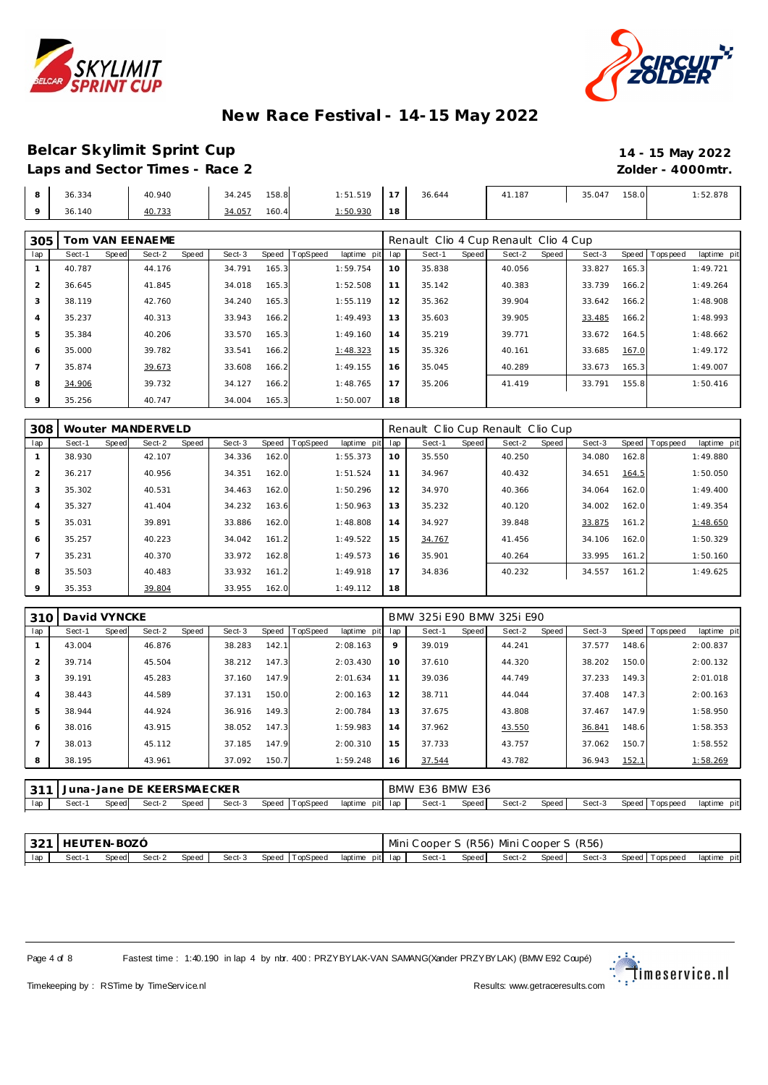



#### **Belcar Skylimit Sprint Cup 14 - 15 May 2022** Laps and Sector Times - Race 2 *Zolder - 4000mtr.*

| 8       | 36.334 | 40.940 | 158.8<br>34.245 | 1:51.519         | 1.17 | 36.644 | 41.187 | 158.0<br>35.047 | 1:52.878 |
|---------|--------|--------|-----------------|------------------|------|--------|--------|-----------------|----------|
| $\circ$ | 36.140 | 40.733 | 160.4<br>34.057 | <u>.: 50.930</u> | 18   |        |        |                 |          |

| 305            | Tom VAN EENAEME |              |        |       |        |       |          |             |     | Renault Clio 4 Cup Renault Clio 4 Cup |       |        |       |        |       |                |             |
|----------------|-----------------|--------------|--------|-------|--------|-------|----------|-------------|-----|---------------------------------------|-------|--------|-------|--------|-------|----------------|-------------|
| lap            | Sect-1          | <b>Speed</b> | Sect-2 | Speed | Sect-3 | Speed | TopSpeed | laptime pit | lap | Sect-1                                | Speed | Sect-2 | Speed | Sect-3 |       | Speed Topspeed | laptime pit |
|                | 40.787          |              | 44.176 |       | 34.791 | 165.3 |          | 1:59.754    | 10  | 35.838                                |       | 40.056 |       | 33.827 | 165.3 |                | 1:49.721    |
| 2              | 36.645          |              | 41.845 |       | 34.018 | 165.3 |          | 1:52.508    | 11  | 35.142                                |       | 40.383 |       | 33.739 | 166.2 |                | 1:49.264    |
| 3              | 38.119          |              | 42.760 |       | 34.240 | 165.3 |          | 1:55.119    | 12  | 35.362                                |       | 39.904 |       | 33.642 | 166.2 |                | 1:48.908    |
| 4              | 35.237          |              | 40.313 |       | 33.943 | 166.2 |          | 1:49.493    | 13  | 35.603                                |       | 39.905 |       | 33.485 | 166.2 |                | 1:48.993    |
| 5              | 35.384          |              | 40.206 |       | 33.570 | 165.3 |          | 1:49.160    | 14  | 35.219                                |       | 39.771 |       | 33.672 | 164.5 |                | 1:48.662    |
| 6              | 35,000          |              | 39.782 |       | 33.541 | 166.2 |          | 1:48.323    | 15  | 35.326                                |       | 40.161 |       | 33.685 | 167.0 |                | 1:49.172    |
| $\overline{ }$ | 35.874          |              | 39.673 |       | 33.608 | 166.2 |          | 1:49.155    | 16  | 35.045                                |       | 40.289 |       | 33.673 | 165.3 |                | 1:49.007    |
| 8              | 34.906          |              | 39.732 |       | 34.127 | 166.2 |          | 1:48.765    | 17  | 35.206                                |       | 41.419 |       | 33.791 | 155.8 |                | 1:50.416    |
| 9              | 35.256          |              | 40.747 |       | 34.004 | 165.3 |          | 1:50.007    | 18  |                                       |       |        |       |        |       |                |             |

| 308            |        |              | Wouter MANDERVELD |       |        |       |          |             |     | Renault Clio Cup Renault Clio Cup |       |        |       |        |       |                 |             |
|----------------|--------|--------------|-------------------|-------|--------|-------|----------|-------------|-----|-----------------------------------|-------|--------|-------|--------|-------|-----------------|-------------|
| lap            | Sect-1 | <b>Speed</b> | Sect-2            | Speed | Sect-3 | Speed | TopSpeed | laptime pit | lap | Sect-1                            | Speed | Sect-2 | Speed | Sect-3 |       | Speed Tops peed | laptime pit |
|                | 38.930 |              | 42.107            |       | 34.336 | 162.0 |          | 1:55.373    | 10  | 35.550                            |       | 40.250 |       | 34.080 | 162.8 |                 | 1:49.880    |
| $\overline{2}$ | 36.217 |              | 40.956            |       | 34.351 | 162.0 |          | 1:51.524    | 11  | 34.967                            |       | 40.432 |       | 34.651 | 164.5 |                 | 1:50.050    |
| 3              | 35.302 |              | 40.531            |       | 34.463 | 162.0 |          | 1:50.296    | 12  | 34.970                            |       | 40.366 |       | 34.064 | 162.0 |                 | 1:49.400    |
| $\overline{4}$ | 35.327 |              | 41.404            |       | 34.232 | 163.6 |          | 1:50.963    | 13  | 35.232                            |       | 40.120 |       | 34.002 | 162.0 |                 | 1:49.354    |
| 5              | 35.031 |              | 39.891            |       | 33.886 | 162.0 |          | 1:48.808    | 14  | 34.927                            |       | 39.848 |       | 33.875 | 161.2 |                 | 1:48.650    |
| 6              | 35.257 |              | 40.223            |       | 34.042 | 161.2 |          | 1:49.522    | 15  | 34.767                            |       | 41.456 |       | 34.106 | 162.0 |                 | 1:50.329    |
|                | 35.231 |              | 40.370            |       | 33.972 | 162.8 |          | 1:49.573    | 16  | 35.901                            |       | 40.264 |       | 33.995 | 161.2 |                 | 1:50.160    |
| 8              | 35.503 |              | 40.483            |       | 33.932 | 161.2 |          | 1:49.918    | 17  | 34.836                            |       | 40.232 |       | 34.557 | 161.2 |                 | 1:49.625    |
| $\circ$        | 35.353 |              | 39.804            |       | 33.955 | 162.0 |          | 1:49.112    | 18  |                                   |       |        |       |        |       |                 |             |

| 310            | David VYNCKE |       |        |       |        |       |          |                 |    | BMW 325i E90 BMW 325i E90 |       |        |       |        |       |                   |             |
|----------------|--------------|-------|--------|-------|--------|-------|----------|-----------------|----|---------------------------|-------|--------|-------|--------|-------|-------------------|-------------|
| lap            | Sect-1       | Speed | Sect-2 | Speed | Sect-3 | Speed | TopSpeed | laptime pit lap |    | Sect-1                    | Speed | Sect-2 | Speed | Sect-3 |       | Speed   Tops peed | laptime pit |
|                | 43.004       |       | 46.876 |       | 38.283 | 142.1 |          | 2:08.163        | 9  | 39.019                    |       | 44.241 |       | 37.577 | 148.6 |                   | 2:00.837    |
| $\overline{2}$ | 39.714       |       | 45.504 |       | 38.212 | 147.3 |          | 2:03.430        | 10 | 37.610                    |       | 44.320 |       | 38.202 | 150.0 |                   | 2:00.132    |
| 3              | 39.191       |       | 45.283 |       | 37.160 | 147.9 |          | 2:01.634        | 11 | 39.036                    |       | 44.749 |       | 37.233 | 149.3 |                   | 2:01.018    |
| $\overline{4}$ | 38.443       |       | 44.589 |       | 37.131 | 150.0 |          | 2:00.163        | 12 | 38.711                    |       | 44.044 |       | 37.408 | 147.3 |                   | 2:00.163    |
| 5              | 38.944       |       | 44.924 |       | 36.916 | 149.3 |          | 2:00.784        | 13 | 37.675                    |       | 43.808 |       | 37.467 | 147.9 |                   | 1:58.950    |
| 6              | 38.016       |       | 43.915 |       | 38.052 | 147.3 |          | 1:59.983        | 14 | 37.962                    |       | 43.550 |       | 36.841 | 148.6 |                   | 1:58.353    |
| $\overline{ }$ | 38.013       |       | 45.112 |       | 37.185 | 147.9 |          | 2:00.310        | 15 | 37.733                    |       | 43.757 |       | 37.062 | 150.7 |                   | 1:58.552    |
| 8              | 38.195       |       | 43.961 |       | 37.092 | 150.7 |          | 1:59.248        | 16 | 37.544                    |       | 43.782 |       | 36.943 | 152.1 |                   | 1:58.269    |
|                |              |       |        |       |        |       |          |                 |    |                           |       |        |       |        |       |                   |             |

|     |       |        | Juna-Jane DE KEERSMAECKER |       |        |                |         |         | BMW E36 BMW E36 | $ -$  |        |       |        |                     |             |
|-----|-------|--------|---------------------------|-------|--------|----------------|---------|---------|-----------------|-------|--------|-------|--------|---------------------|-------------|
| lap | Sect- | Speedl | Sect-2                    | Speed | Sect-3 | Speed TopSpeed | laptime | pit lap | Sect-           | Speed | Sect-2 | Speed | Sect-3 | Speed  <br>Topspeed | laptime pit |

|     | 321   HEUTEN-BOZÓ |                    |  |  |                                       |        | Mini Cooper S (R56) Mini Cooper S (R56) |                       |  |             |
|-----|-------------------|--------------------|--|--|---------------------------------------|--------|-----------------------------------------|-----------------------|--|-------------|
| lap | Sect-1            | Speed Sect-2 Speed |  |  | Sect-3 Speed TopSpeed laptime pit lap | Sect-1 | Speed Sect-2 Speed                      | Sect-3 Speed Topspeed |  | laptime pit |

Page 4 of 8 Fastest time : 1:40.190 in lap 4 by nbr. 400 : PRZYBYLAK-VAN SAMANG(Xander PRZYBYLAK) (BMW E92 Coupé)

∵.<br>∵. †imeservice.nl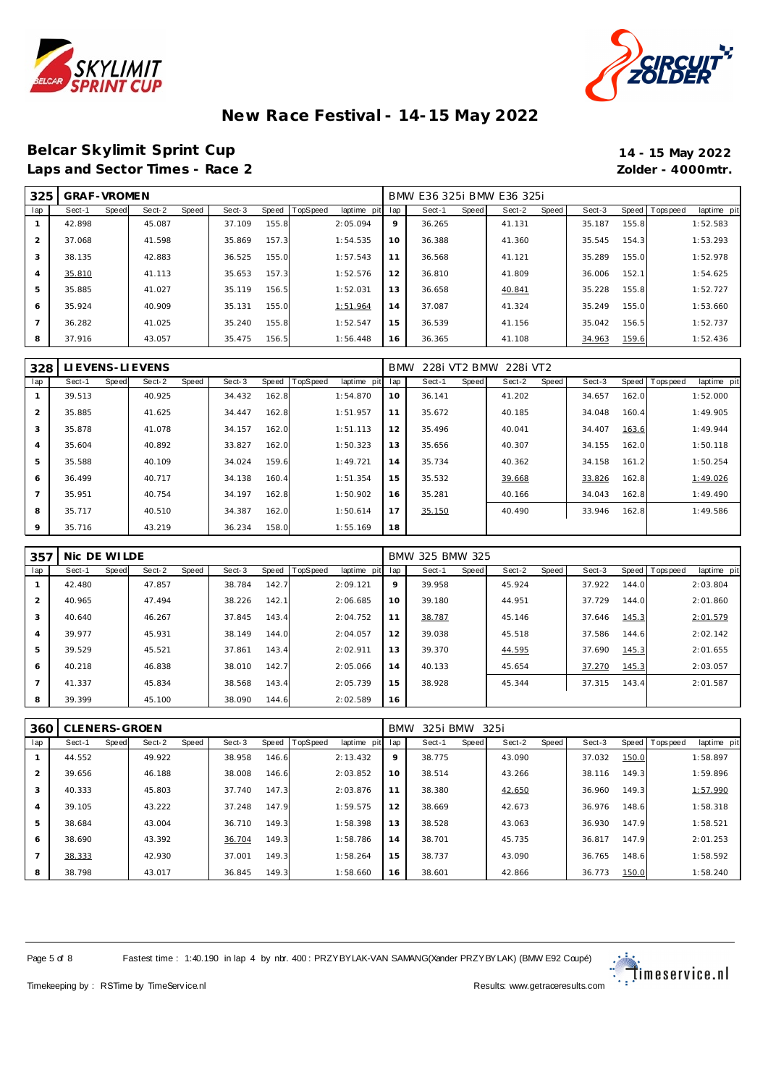



### **Belcar Skylimit Sprint Cup 14 - 15 May 2022** Laps and Sector Times - Race 2 *Zolder - 4000mtr.*

| 325 | <b>GRAF-VROMEN</b> |       |        |       |        |       |                 |             |     | BMW E36 325i BMW E36 325i |       |        |       |        |       |           |             |
|-----|--------------------|-------|--------|-------|--------|-------|-----------------|-------------|-----|---------------------------|-------|--------|-------|--------|-------|-----------|-------------|
| lap | Sect-1             | Speed | Sect-2 | Speed | Sect-3 | Speed | <b>TopSpeed</b> | laptime pit | lap | Sect-1                    | Speed | Sect-2 | Speed | Sect-3 | Speed | Tops peed | laptime pit |
|     | 42.898             |       | 45.087 |       | 37.109 | 155.8 |                 | 2:05.094    | 9   | 36.265                    |       | 41.131 |       | 35.187 | 155.8 |           | 1:52.583    |
|     | 37.068             |       | 41.598 |       | 35.869 | 157.3 |                 | 1:54.535    | 10  | 36.388                    |       | 41.360 |       | 35.545 | 154.3 |           | 1:53.293    |
| 3   | 38.135             |       | 42.883 |       | 36.525 | 155.0 |                 | 1:57.543    | 11  | 36.568                    |       | 41.121 |       | 35.289 | 155.0 |           | 1:52.978    |
|     | 35.810             |       | 41.113 |       | 35.653 | 157.3 |                 | 1:52.576    | 12  | 36.810                    |       | 41.809 |       | 36.006 | 152.1 |           | 1:54.625    |
| 5   | 35.885             |       | 41.027 |       | 35.119 | 156.5 |                 | 1:52.031    | 13  | 36.658                    |       | 40.841 |       | 35.228 | 155.8 |           | 1:52.727    |
| 6   | 35.924             |       | 40.909 |       | 35.131 | 155.0 |                 | 1:51.964    | 14  | 37.087                    |       | 41.324 |       | 35.249 | 155.0 |           | 1:53.660    |
|     | 36.282             |       | 41.025 |       | 35.240 | 155.8 |                 | 1:52.547    | 15  | 36.539                    |       | 41.156 |       | 35.042 | 156.5 |           | 1:52.737    |
| 8   | 37.916             |       | 43.057 |       | 35.475 | 156.5 |                 | 1:56.448    | 16  | 36.365                    |       | 41.108 |       | 34.963 | 159.6 |           | 1:52.436    |

| 328 |        |       | LI EVENS-LI EVENS |       |        |       |                |             | <b>BMW</b> |        |       | 228i VT2 BMW 228i VT2 |       |        |       |                  |             |
|-----|--------|-------|-------------------|-------|--------|-------|----------------|-------------|------------|--------|-------|-----------------------|-------|--------|-------|------------------|-------------|
| lap | Sect-1 | Speed | Sect-2            | Speed | Sect-3 |       | Speed TopSpeed | laptime pit | lap        | Sect-1 | Speed | Sect-2                | Speed | Sect-3 |       | Speed   Topspeed | laptime pit |
|     | 39.513 |       | 40.925            |       | 34.432 | 162.8 |                | 1:54.870    | 10         | 36.141 |       | 41.202                |       | 34.657 | 162.0 |                  | 1:52.000    |
| 2   | 35.885 |       | 41.625            |       | 34.447 | 162.8 |                | 1:51.957    | 11         | 35.672 |       | 40.185                |       | 34.048 | 160.4 |                  | 1:49.905    |
| 3   | 35.878 |       | 41.078            |       | 34.157 | 162.0 |                | 1:51.113    | 12         | 35.496 |       | 40.041                |       | 34.407 | 163.6 |                  | 1:49.944    |
| 4   | 35.604 |       | 40.892            |       | 33.827 | 162.0 |                | 1:50.323    | 13         | 35.656 |       | 40.307                |       | 34.155 | 162.0 |                  | 1:50.118    |
| 5   | 35.588 |       | 40.109            |       | 34.024 | 159.6 |                | 1:49.721    | 14         | 35.734 |       | 40.362                |       | 34.158 | 161.2 |                  | 1:50.254    |
| 6   | 36.499 |       | 40.717            |       | 34.138 | 160.4 |                | 1:51.354    | 15         | 35.532 |       | 39.668                |       | 33.826 | 162.8 |                  | 1:49.026    |
|     | 35.951 |       | 40.754            |       | 34.197 | 162.8 |                | 1:50.902    | 16         | 35.281 |       | 40.166                |       | 34.043 | 162.8 |                  | 1:49.490    |
| 8   | 35.717 |       | 40.510            |       | 34.387 | 162.0 |                | 1:50.614    | 17         | 35.150 |       | 40.490                |       | 33.946 | 162.8 |                  | 1:49.586    |
| 9   | 35.716 |       | 43.219            |       | 36.234 | 158.0 |                | 1:55.169    | 18         |        |       |                       |       |        |       |                  |             |

| 357 | Nic DE WILDE |       |        |       |        |       |                 |             |     | BMW 325 BMW 325 |       |        |       |        |       |                  |             |
|-----|--------------|-------|--------|-------|--------|-------|-----------------|-------------|-----|-----------------|-------|--------|-------|--------|-------|------------------|-------------|
| lap | Sect-1       | Speed | Sect-2 | Speed | Sect-3 | Speed | <b>TopSpeed</b> | laptime pit | lap | Sect-1          | Speed | Sect-2 | Speed | Sect-3 |       | Speed   Topspeed | laptime pit |
|     | 42.480       |       | 47.857 |       | 38.784 | 142.7 |                 | 2:09.121    | 9   | 39.958          |       | 45.924 |       | 37.922 | 144.0 |                  | 2:03.804    |
| 2   | 40.965       |       | 47.494 |       | 38.226 | 142.1 |                 | 2:06.685    | 10  | 39.180          |       | 44.951 |       | 37.729 | 144.0 |                  | 2:01.860    |
| 3   | 40.640       |       | 46.267 |       | 37.845 | 143.4 |                 | 2:04.752    | 11  | 38.787          |       | 45.146 |       | 37.646 | 145.3 |                  | 2:01.579    |
| 4   | 39.977       |       | 45.931 |       | 38.149 | 144.0 |                 | 2:04.057    | 12  | 39.038          |       | 45.518 |       | 37.586 | 144.6 |                  | 2:02.142    |
| 5   | 39.529       |       | 45.521 |       | 37.861 | 143.4 |                 | 2:02.911    | 13  | 39.370          |       | 44.595 |       | 37.690 | 145.3 |                  | 2:01.655    |
| 6   | 40.218       |       | 46.838 |       | 38.010 | 142.7 |                 | 2:05.066    | 14  | 40.133          |       | 45.654 |       | 37.270 | 145.3 |                  | 2:03.057    |
|     | 41.337       |       | 45.834 |       | 38.568 | 143.4 |                 | 2:05.739    | 15  | 38.928          |       | 45.344 |       | 37.315 | 143.4 |                  | 2:01.587    |
| 8   | 39.399       |       | 45.100 |       | 38.090 | 144.6 |                 | 2:02.589    | 16  |                 |       |        |       |        |       |                  |             |

| 360 | СI     |       | LENERS-GROEN |       |        |       |          |             | <b>BMW</b> | 325i BMW |       | 325i   |       |        |       |                 |             |
|-----|--------|-------|--------------|-------|--------|-------|----------|-------------|------------|----------|-------|--------|-------|--------|-------|-----------------|-------------|
| lap | Sect-1 | Speed | Sect-2       | Speed | Sect-3 | Speed | TopSpeed | laptime pit | lap        | Sect-1   | Speed | Sect-2 | Speed | Sect-3 |       | Speed Tops peed | laptime pit |
|     | 44.552 |       | 49.922       |       | 38.958 | 146.6 |          | 2:13.432    | 9          | 38.775   |       | 43.090 |       | 37.032 | 150.0 |                 | 1:58.897    |
| 2   | 39.656 |       | 46.188       |       | 38,008 | 146.6 |          | 2:03.852    | 10         | 38.514   |       | 43.266 |       | 38.116 | 149.3 |                 | 1:59.896    |
| 3   | 40.333 |       | 45.803       |       | 37.740 | 147.3 |          | 2:03.876    | 11         | 38.380   |       | 42.650 |       | 36.960 | 149.3 |                 | 1:57.990    |
| 4   | 39.105 |       | 43.222       |       | 37.248 | 147.9 |          | 1:59.575    | 12         | 38.669   |       | 42.673 |       | 36.976 | 148.6 |                 | 1:58.318    |
| 5   | 38.684 |       | 43.004       |       | 36.710 | 149.3 |          | 1:58.398    | 13         | 38.528   |       | 43.063 |       | 36.930 | 147.9 |                 | 1:58.521    |
| 6   | 38.690 |       | 43.392       |       | 36.704 | 149.3 |          | 1:58.786    | 14         | 38.701   |       | 45.735 |       | 36.817 | 147.9 |                 | 2:01.253    |
|     | 38.333 |       | 42.930       |       | 37.001 | 149.3 |          | 1:58.264    | 15         | 38.737   |       | 43.090 |       | 36.765 | 148.6 |                 | 1:58.592    |
| 8   | 38.798 |       | 43.017       |       | 36.845 | 149.3 |          | 1:58.660    | 16         | 38.601   |       | 42.866 |       | 36.773 | 150.0 |                 | 1:58.240    |

Page 5 of 8 Fastest time : 1:40.190 in lap 4 by nbr. 400 : PRZYBYLAK-VAN SAMANG(Xander PRZYBYLAK) (BMW E92 Coupé)

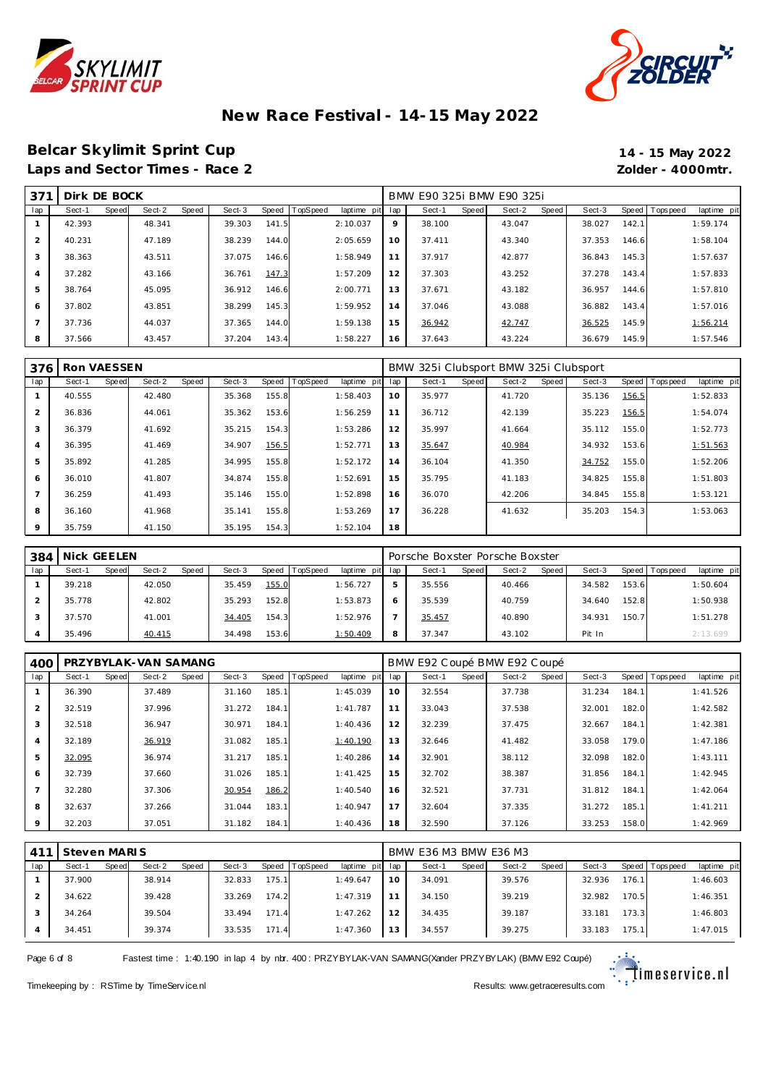



### **Belcar Skylimit Sprint Cup 14 - 15 May 2022** Laps and Sector Times - Race 2 *Zolder - 4000mtr.*

| 37'            | Dirk DE BOCK |       |        |       |        |       |          |             |     | BMW E90 325i BMW E90 325i |       |        |       |        |       |           |             |
|----------------|--------------|-------|--------|-------|--------|-------|----------|-------------|-----|---------------------------|-------|--------|-------|--------|-------|-----------|-------------|
| lap            | Sect-1       | Speed | Sect-2 | Speed | Sect-3 | Speed | TopSpeed | laptime pit | lap | Sect-1                    | Speed | Sect-2 | Speed | Sect-3 | Speed | Tops peed | laptime pit |
|                | 42.393       |       | 48.341 |       | 39.303 | 141.5 |          | 2:10.037    | 9   | 38.100                    |       | 43.047 |       | 38.027 | 142.1 |           | 1:59.174    |
| $\overline{2}$ | 40.231       |       | 47.189 |       | 38.239 | 144.0 |          | 2:05.659    | 10  | 37.411                    |       | 43.340 |       | 37.353 | 146.6 |           | 1:58.104    |
| 3              | 38.363       |       | 43.511 |       | 37.075 | 146.6 |          | 1:58.949    | 11  | 37.917                    |       | 42.877 |       | 36.843 | 145.3 |           | 1:57.637    |
| $\overline{4}$ | 37.282       |       | 43.166 |       | 36.761 | 147.3 |          | 1:57.209    | 12  | 37.303                    |       | 43.252 |       | 37.278 | 143.4 |           | 1:57.833    |
| 5              | 38.764       |       | 45.095 |       | 36.912 | 146.6 |          | 2:00.771    | 13  | 37.671                    |       | 43.182 |       | 36.957 | 144.6 |           | 1:57.810    |
| 6              | 37.802       |       | 43.851 |       | 38.299 | 145.3 |          | 1:59.952    | 14  | 37.046                    |       | 43.088 |       | 36.882 | 143.4 |           | 1:57.016    |
|                | 37.736       |       | 44.037 |       | 37.365 | 144.0 |          | 1:59.138    | 15  | 36.942                    |       | 42.747 |       | 36.525 | 145.9 |           | 1:56.214    |
| 8              | 37.566       |       | 43.457 |       | 37.204 | 143.4 |          | 1:58.227    | 16  | 37.643                    |       | 43.224 |       | 36.679 | 145.9 |           | 1:57.546    |

| 376            | Ron VAESSEN |       |        |       |        |       |          |             |     | BMW 325i Clubsport BMW 325i Clubsport |       |        |       |        |       |                 |             |
|----------------|-------------|-------|--------|-------|--------|-------|----------|-------------|-----|---------------------------------------|-------|--------|-------|--------|-------|-----------------|-------------|
| lap            | Sect-1      | Speed | Sect-2 | Speed | Sect-3 | Speed | TopSpeed | laptime pit | lap | Sect-1                                | Speed | Sect-2 | Speed | Sect-3 |       | Speed Tops peed | laptime pit |
|                | 40.555      |       | 42.480 |       | 35.368 | 155.8 |          | 1:58.403    | 10  | 35.977                                |       | 41.720 |       | 35.136 | 156.5 |                 | 1:52.833    |
| $\overline{2}$ | 36.836      |       | 44.061 |       | 35.362 | 153.6 |          | 1:56.259    | 11  | 36.712                                |       | 42.139 |       | 35.223 | 156.5 |                 | 1:54.074    |
| 3              | 36.379      |       | 41.692 |       | 35.215 | 154.3 |          | 1:53.286    | 12  | 35.997                                |       | 41.664 |       | 35.112 | 155.0 |                 | 1:52.773    |
| $\overline{4}$ | 36.395      |       | 41.469 |       | 34.907 | 156.5 |          | 1:52.771    | 13  | 35.647                                |       | 40.984 |       | 34.932 | 153.6 |                 | 1:51.563    |
| 5              | 35.892      |       | 41.285 |       | 34.995 | 155.8 |          | 1:52.172    | 14  | 36.104                                |       | 41.350 |       | 34.752 | 155.0 |                 | 1:52.206    |
| 6              | 36.010      |       | 41.807 |       | 34.874 | 155.8 |          | 1:52.691    | 15  | 35.795                                |       | 41.183 |       | 34.825 | 155.8 |                 | 1:51.803    |
| $\overline{ }$ | 36.259      |       | 41.493 |       | 35.146 | 155.0 |          | 1:52.898    | 16  | 36.070                                |       | 42.206 |       | 34.845 | 155.8 |                 | 1:53.121    |
| 8              | 36.160      |       | 41.968 |       | 35.141 | 155.8 |          | 1:53.269    | 17  | 36.228                                |       | 41.632 |       | 35.203 | 154.3 |                 | 1:53.063    |
| 9              | 35.759      |       | 41.150 |       | 35.195 | 154.3 |          | 1:52.104    | 18  |                                       |       |        |       |        |       |                 |             |

| 384 | Nick GEELEN |       |        |       |        |       |                 |             |     | Porsche Boxster Porsche Boxster |       |        |       |        |       |                 |             |
|-----|-------------|-------|--------|-------|--------|-------|-----------------|-------------|-----|---------------------------------|-------|--------|-------|--------|-------|-----------------|-------------|
| lap | Sect-1      | Speed | Sect-2 | Speed | Sect-3 | Speed | <b>TopSpeed</b> | laptime pit | lap | Sect-1                          | Speed | Sect-2 | Speed | Sect-3 |       | Speed Tops peed | laptime pit |
|     | 39.218      |       | 42.050 |       | 35.459 | 155.0 |                 | 1:56.727    |     | 35.556                          |       | 40.466 |       | 34.582 | 153.6 |                 | 1:50.604    |
|     | 35.778      |       | 42.802 |       | 35.293 | 152.8 |                 | 1:53.873    |     | 35.539                          |       | 40.759 |       | 34.640 | 152.8 |                 | 1:50.938    |
|     | 37.570      |       | 41.001 |       | 34.405 | 154.3 |                 | 1:52.976    |     | 35.457                          |       | 40.890 |       | 34.931 | 150.7 |                 | 1:51.278    |
|     | 35.496      |       | 40.415 |       | 34.498 | 153.6 |                 | 1:50.409    | 8   | 37.347                          |       | 43.102 |       | Pit In |       |                 | 2:13.699    |

| 400 |        |       | PRZYBYLAK-VAN SAMANG |       |        |       |          |                 |    | BMW E92 Coupé BMW E92 Coupé |       |        |       |        |       |                   |             |
|-----|--------|-------|----------------------|-------|--------|-------|----------|-----------------|----|-----------------------------|-------|--------|-------|--------|-------|-------------------|-------------|
| lap | Sect-1 | Speed | Sect-2               | Speed | Sect-3 | Speed | TopSpeed | laptime pit lap |    | Sect-1                      | Speed | Sect-2 | Speed | Sect-3 |       | Speed   Tops peed | laptime pit |
|     | 36.390 |       | 37.489               |       | 31.160 | 185.1 |          | 1:45.039        | 10 | 32.554                      |       | 37.738 |       | 31.234 | 184.1 |                   | 1:41.526    |
|     | 32.519 |       | 37.996               |       | 31.272 | 184.1 |          | 1:41.787        | 11 | 33.043                      |       | 37.538 |       | 32.001 | 182.0 |                   | 1:42.582    |
| 3   | 32.518 |       | 36.947               |       | 30.971 | 184.1 |          | 1:40.436        | 12 | 32.239                      |       | 37.475 |       | 32.667 | 184.1 |                   | 1:42.381    |
| 4   | 32.189 |       | 36.919               |       | 31.082 | 185.1 |          | 1:40.190        | 13 | 32.646                      |       | 41.482 |       | 33.058 | 179.0 |                   | 1:47.186    |
| 5   | 32.095 |       | 36.974               |       | 31.217 | 185.1 |          | 1:40.286        | 14 | 32.901                      |       | 38.112 |       | 32.098 | 182.0 |                   | 1:43.111    |
| 6   | 32.739 |       | 37.660               |       | 31.026 | 185.1 |          | 1:41.425        | 15 | 32.702                      |       | 38.387 |       | 31.856 | 184.1 |                   | 1:42.945    |
|     | 32.280 |       | 37.306               |       | 30.954 | 186.2 |          | 1:40.540        | 16 | 32.521                      |       | 37.731 |       | 31.812 | 184.1 |                   | 1:42.064    |
| 8   | 32.637 |       | 37.266               |       | 31.044 | 183.1 |          | 1:40.947        | 17 | 32.604                      |       | 37.335 |       | 31.272 | 185.1 |                   | 1:41.211    |
| 9   | 32.203 |       | 37.051               |       | 31.182 | 184.1 |          | 1:40.436        | 18 | 32.590                      |       | 37.126 |       | 33.253 | 158.0 |                   | 1:42.969    |

| 41 <sup>1</sup> | Steven MARIS |       |        |              |        |       |          |             |     | BMW E36 M3 BMW E36 M3 |       |        |       |        |        |                 |             |
|-----------------|--------------|-------|--------|--------------|--------|-------|----------|-------------|-----|-----------------------|-------|--------|-------|--------|--------|-----------------|-------------|
| lap             | Sect-1       | Speed | Sect-2 | <b>Speed</b> | Sect-3 | Speed | TopSpeed | laptime pit | lap | Sect-1                | Speed | Sect-2 | Speed | Sect-3 |        | Speed Tops peed | laptime pit |
|                 | 37.900       |       | 38.914 |              | 32.833 | 175.1 |          | 1:49.647    | 10  | 34.091                |       | 39.576 |       | 32.936 | 176.1  |                 | 1:46.603    |
|                 | 34.622       |       | 39.428 |              | 33.269 | 174.2 |          | 1:47.319    |     | 34.150                |       | 39.219 |       | 32.982 | 170.5  |                 | 1:46.351    |
|                 | 34.264       |       | 39.504 |              | 33.494 | 171.4 |          | 1:47.262    | 12  | 34.435                |       | 39.187 |       | 33.181 | 173.3  |                 | 1:46.803    |
|                 | 34.451       |       | 39.374 |              | 33.535 | 171.4 |          | 1:47.360    | 13  | 34.557                |       | 39.275 |       | 33.183 | 175.11 |                 | 1:47.015    |

Page 6 of 8 Fastest time : 1:40.190 in lap 4 by nbr. 400 : PRZYBYLAK-VAN SAMANG(Xander PRZYBYLAK) (BMW E92 Coupé)

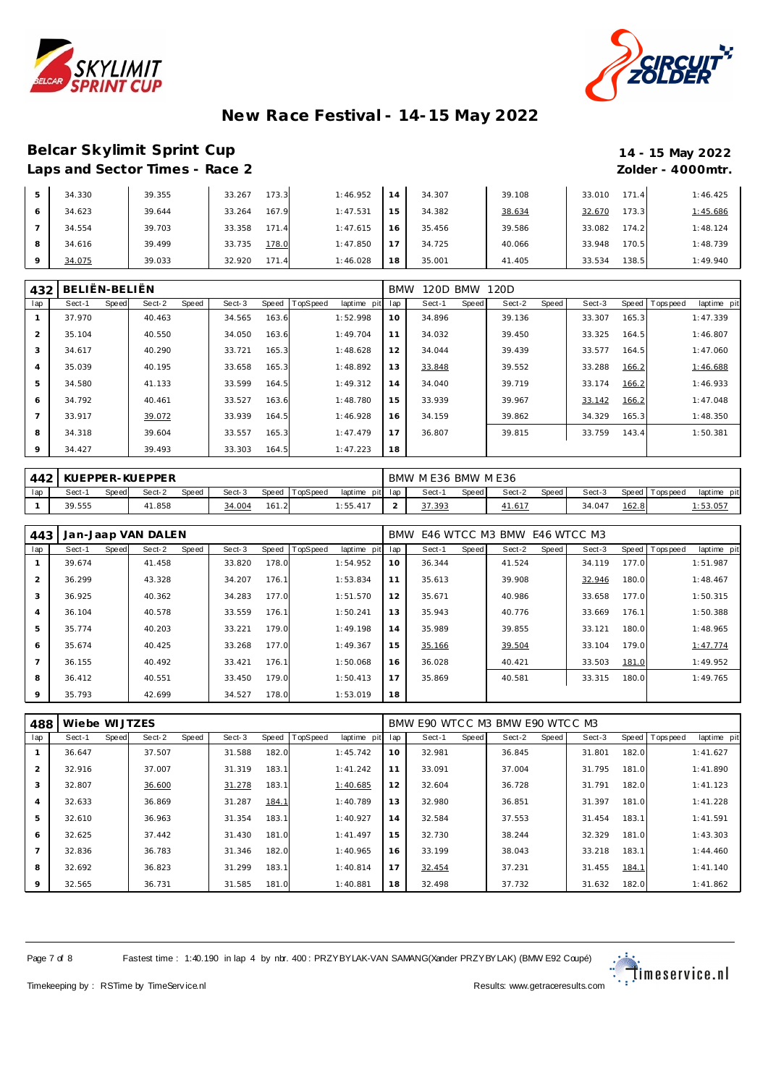



### **Belcar Skylimit Sprint Cup 14 - 15 May 2022** Laps and Sector Times - Race 2 *Zolder - 4000mtr.*

|         | 34.330 | 39.355 | 173.3<br>33.267 | 1:46.952 | 14 | 34.307 | 39.108 | 171.4<br>33.010 | 1:46.425 |
|---------|--------|--------|-----------------|----------|----|--------|--------|-----------------|----------|
| 6       | 34.623 | 39.644 | 167.9<br>33.264 | 1:47.531 | 15 | 34.382 | 38.634 | 173.3<br>32.670 | 1:45.686 |
|         | 34.554 | 39.703 | 171.4<br>33.358 | 1:47.615 | 16 | 35.456 | 39.586 | 174.2<br>33.082 | 1:48.124 |
| 8       | 34.616 | 39.499 | 178.0<br>33.735 | 1:47.850 | 17 | 34.725 | 40.066 | 170.5<br>33.948 | 1:48.739 |
| $\circ$ | 34.075 | 39.033 | 171.4<br>32.920 | 1:46.028 | 18 | 35.001 | 41.405 | 138.5<br>33.534 | 1:49.940 |

| 432            | BELIËN-BELIËN |       |        |       |        |       |          |             | <b>BMW</b> | 120D BMW |       | 120D   |       |        |       |                  |             |
|----------------|---------------|-------|--------|-------|--------|-------|----------|-------------|------------|----------|-------|--------|-------|--------|-------|------------------|-------------|
| lap            | Sect-1        | Speed | Sect-2 | Speed | Sect-3 | Speed | TopSpeed | laptime pit | lap        | Sect-1   | Speed | Sect-2 | Speed | Sect-3 |       | Speed   Topspeed | laptime pit |
|                | 37.970        |       | 40.463 |       | 34.565 | 163.6 |          | 1:52.998    | 10         | 34.896   |       | 39.136 |       | 33.307 | 165.3 |                  | 1:47.339    |
| 2              | 35.104        |       | 40.550 |       | 34.050 | 163.6 |          | 1:49.704    | 11         | 34.032   |       | 39.450 |       | 33.325 | 164.5 |                  | 1:46.807    |
| 3              | 34.617        |       | 40.290 |       | 33.721 | 165.3 |          | 1:48.628    | 12         | 34.044   |       | 39.439 |       | 33.577 | 164.5 |                  | 1:47.060    |
| $\overline{4}$ | 35.039        |       | 40.195 |       | 33.658 | 165.3 |          | 1:48.892    | 13         | 33.848   |       | 39.552 |       | 33.288 | 166.2 |                  | 1:46.688    |
| 5              | 34.580        |       | 41.133 |       | 33.599 | 164.5 |          | 1:49.312    | 14         | 34.040   |       | 39.719 |       | 33.174 | 166.2 |                  | 1:46.933    |
| 6              | 34.792        |       | 40.461 |       | 33.527 | 163.6 |          | 1:48.780    | 15         | 33.939   |       | 39.967 |       | 33.142 | 166.2 |                  | 1:47.048    |
| $\overline{ }$ | 33.917        |       | 39.072 |       | 33.939 | 164.5 |          | 1:46.928    | 16         | 34.159   |       | 39.862 |       | 34.329 | 165.3 |                  | 1:48.350    |
| 8              | 34.318        |       | 39.604 |       | 33.557 | 165.3 |          | 1:47.479    | 17         | 36.807   |       | 39.815 |       | 33.759 | 143.4 |                  | 1:50.381    |
| 9              | 34.427        |       | 39.493 |       | 33.303 | 164.5 |          | 1:47.223    | 18         |          |       |        |       |        |       |                  |             |

|     |        | KUEPPER-KUEPPER<br>TopSpeed<br>Sect-3<br>Sect-2<br>Speed<br>Speed<br>Speed<br>Sect- |        |  |        |       |  |                |     | BMW ME36 |        | BMW M E36    |       |        |         |            |             |
|-----|--------|-------------------------------------------------------------------------------------|--------|--|--------|-------|--|----------------|-----|----------|--------|--------------|-------|--------|---------|------------|-------------|
| lap |        |                                                                                     |        |  |        |       |  | pit<br>laptime | lap | Sect-    | Speed. | Sect-2       | Speed | Sect-3 | Speed I | Tops pee d | laptime pit |
|     | 39.555 |                                                                                     | 41.858 |  | 34.004 | 161.2 |  | 1:55.417       | -   | .393     |        | <u>1.617</u> |       | 34.047 | 162.8   |            | 1:53.05     |

| 443            | Jan-Jaap VAN DALEN |                 |        |       |          |             |     | BMW E46 WTCC M3 BMW E46 WTCC M3 |       |        |       |        |       |                 |             |
|----------------|--------------------|-----------------|--------|-------|----------|-------------|-----|---------------------------------|-------|--------|-------|--------|-------|-----------------|-------------|
| lap            | Sect-1<br>Speed    | Sect-2<br>Speed | Sect-3 | Speed | TopSpeed | laptime pit | lap | Sect-1                          | Speed | Sect-2 | Speed | Sect-3 |       | Speed Tops peed | laptime pit |
|                | 39.674             | 41.458          | 33.820 | 178.0 |          | 1:54.952    | 10  | 36.344                          |       | 41.524 |       | 34.119 | 177.0 |                 | 1:51.987    |
| $\overline{2}$ | 36.299             | 43.328          | 34.207 | 176.1 |          | 1:53.834    | 11  | 35.613                          |       | 39.908 |       | 32.946 | 180.0 |                 | 1:48.467    |
| 3              | 36.925             | 40.362          | 34.283 | 177.0 |          | 1:51.570    | 12  | 35.671                          |       | 40.986 |       | 33.658 | 177.0 |                 | 1:50.315    |
| $\overline{4}$ | 36.104             | 40.578          | 33.559 | 176.1 |          | 1:50.241    | 13  | 35.943                          |       | 40.776 |       | 33.669 | 176.1 |                 | 1:50.388    |
| 5              | 35.774             | 40.203          | 33.221 | 179.0 |          | 1:49.198    | 14  | 35.989                          |       | 39.855 |       | 33.121 | 180.0 |                 | 1:48.965    |
| 6              | 35.674             | 40.425          | 33.268 | 177.0 |          | 1:49.367    | 15  | 35.166                          |       | 39.504 |       | 33.104 | 179.0 |                 | 1:47.774    |
| $\overline{ }$ | 36.155             | 40.492          | 33.421 | 176.1 |          | 1:50.068    | 16  | 36.028                          |       | 40.421 |       | 33.503 | 181.0 |                 | 1:49.952    |
| 8              | 36.412             | 40.551          | 33.450 | 179.0 |          | 1:50.413    | 17  | 35.869                          |       | 40.581 |       | 33.315 | 180.0 |                 | 1:49.765    |
| $\circ$        | 35.793             | 42.699          | 34.527 | 178.0 |          | 1:53.019    | 18  |                                 |       |        |       |        |       |                 |             |

| 488            | Wiebe WIJTZES |       |        |       |        |       |          |             |     | BMW E90 WTCC M3 BMW E90 WTCC M3 |       |        |       |        |       |           |             |
|----------------|---------------|-------|--------|-------|--------|-------|----------|-------------|-----|---------------------------------|-------|--------|-------|--------|-------|-----------|-------------|
| lap            | Sect-1        | Speed | Sect-2 | Speed | Sect-3 | Speed | TopSpeed | laptime pit | lap | Sect-1                          | Speed | Sect-2 | Speed | Sect-3 | Speed | Tops peed | laptime pit |
|                | 36.647        |       | 37.507 |       | 31.588 | 182.0 |          | 1:45.742    | 10  | 32.981                          |       | 36.845 |       | 31.801 | 182.0 |           | 1:41.627    |
| 2              | 32.916        |       | 37.007 |       | 31.319 | 183.1 |          | 1:41.242    | 11  | 33.091                          |       | 37.004 |       | 31.795 | 181.0 |           | 1:41.890    |
| 3              | 32.807        |       | 36.600 |       | 31.278 | 183.1 |          | 1:40.685    | 12  | 32.604                          |       | 36.728 |       | 31.791 | 182.0 |           | 1:41.123    |
| $\overline{4}$ | 32.633        |       | 36.869 |       | 31.287 | 184.1 |          | 1:40.789    | 13  | 32.980                          |       | 36.851 |       | 31.397 | 181.0 |           | 1:41.228    |
| 5              | 32.610        |       | 36.963 |       | 31.354 | 183.1 |          | 1:40.927    | 14  | 32.584                          |       | 37.553 |       | 31.454 | 183.1 |           | 1:41.591    |
| 6              | 32.625        |       | 37.442 |       | 31.430 | 181.0 |          | 1: 41.497   | 15  | 32.730                          |       | 38.244 |       | 32.329 | 181.0 |           | 1:43.303    |
| $\overline{7}$ | 32.836        |       | 36.783 |       | 31.346 | 182.0 |          | 1:40.965    | 16  | 33.199                          |       | 38.043 |       | 33.218 | 183.1 |           | 1:44.460    |
| 8              | 32.692        |       | 36.823 |       | 31.299 | 183.1 |          | 1:40.814    | 17  | 32.454                          |       | 37.231 |       | 31.455 | 184.1 |           | 1:41.140    |
| 9              | 32.565        |       | 36.731 |       | 31.585 | 181.0 |          | 1:40.881    | 18  | 32.498                          |       | 37.732 |       | 31.632 | 182.0 |           | 1:41.862    |

Page 7 of 8 Fastest time : 1:40.190 in lap 4 by nbr. 400 : PRZYBYLAK-VAN SAMANG(Xander PRZYBYLAK) (BMW E92 Coupé)